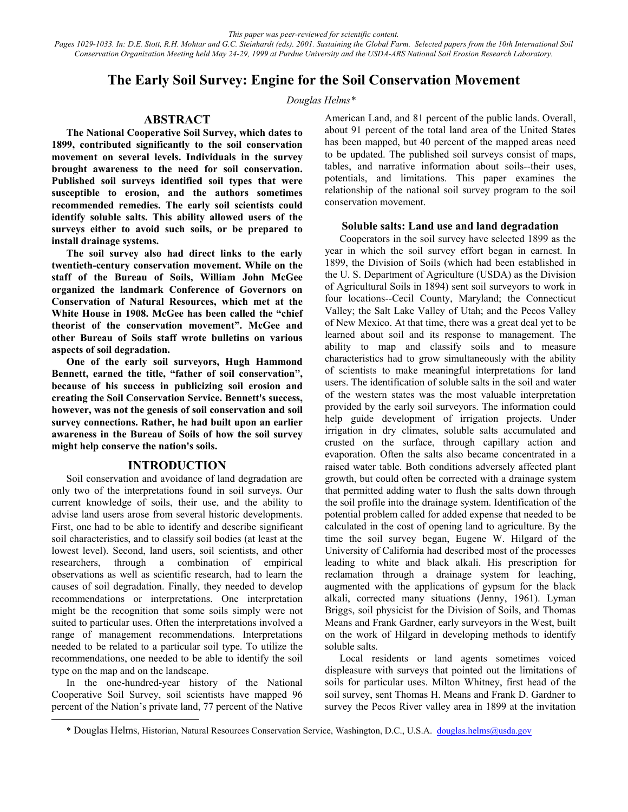*This paper was peer-reviewed for scientific content. Pages 1029-1033. In: D.E. Stott, R.H. Mohtar and G.C. Steinhardt (eds). 2001. Sustaining the Global Farm. Selected papers from the 10th International Soil Conservation Organization Meeting held May 24-29, 1999 at Purdue University and the USDA-ARS National Soil Erosion Research Laboratory.*

# **The Early Soil Survey: Engine for the Soil Conservation Movement**

*Douglas Helms\** 

## **ABSTRACT**

**The National Cooperative Soil Survey, which dates to 1899, contributed significantly to the soil conservation movement on several levels. Individuals in the survey brought awareness to the need for soil conservation. Published soil surveys identified soil types that were susceptible to erosion, and the authors sometimes recommended remedies. The early soil scientists could identify soluble salts. This ability allowed users of the surveys either to avoid such soils, or be prepared to install drainage systems.** 

**The soil survey also had direct links to the early twentieth-century conservation movement. While on the staff of the Bureau of Soils, William John McGee organized the landmark Conference of Governors on Conservation of Natural Resources, which met at the White House in 1908. McGee has been called the "chief theorist of the conservation movement". McGee and other Bureau of Soils staff wrote bulletins on various aspects of soil degradation.** 

**One of the early soil surveyors, Hugh Hammond Bennett, earned the title, "father of soil conservation", because of his success in publicizing soil erosion and creating the Soil Conservation Service. Bennett's success, however, was not the genesis of soil conservation and soil survey connections. Rather, he had built upon an earlier awareness in the Bureau of Soils of how the soil survey might help conserve the nation's soils.**

#### **INTRODUCTION**

Soil conservation and avoidance of land degradation are only two of the interpretations found in soil surveys. Our current knowledge of soils, their use, and the ability to advise land users arose from several historic developments. First, one had to be able to identify and describe significant soil characteristics, and to classify soil bodies (at least at the lowest level). Second, land users, soil scientists, and other researchers, through a combination of empirical observations as well as scientific research, had to learn the causes of soil degradation. Finally, they needed to develop recommendations or interpretations. One interpretation might be the recognition that some soils simply were not suited to particular uses. Often the interpretations involved a range of management recommendations. Interpretations needed to be related to a particular soil type. To utilize the recommendations, one needed to be able to identify the soil type on the map and on the landscape.

In the one-hundred-year history of the National Cooperative Soil Survey, soil scientists have mapped 96 percent of the Nation's private land, 77 percent of the Native

l

American Land, and 81 percent of the public lands. Overall, about 91 percent of the total land area of the United States has been mapped, but 40 percent of the mapped areas need to be updated. The published soil surveys consist of maps, tables, and narrative information about soils--their uses, potentials, and limitations. This paper examines the relationship of the national soil survey program to the soil conservation movement.

#### **Soluble salts: Land use and land degradation**

Cooperators in the soil survey have selected 1899 as the year in which the soil survey effort began in earnest. In 1899, the Division of Soils (which had been established in the U. S. Department of Agriculture (USDA) as the Division of Agricultural Soils in 1894) sent soil surveyors to work in four locations--Cecil County, Maryland; the Connecticut Valley; the Salt Lake Valley of Utah; and the Pecos Valley of New Mexico. At that time, there was a great deal yet to be learned about soil and its response to management. The ability to map and classify soils and to measure characteristics had to grow simultaneously with the ability of scientists to make meaningful interpretations for land users. The identification of soluble salts in the soil and water of the western states was the most valuable interpretation provided by the early soil surveyors. The information could help guide development of irrigation projects. Under irrigation in dry climates, soluble salts accumulated and crusted on the surface, through capillary action and evaporation. Often the salts also became concentrated in a raised water table. Both conditions adversely affected plant growth, but could often be corrected with a drainage system that permitted adding water to flush the salts down through the soil profile into the drainage system. Identification of the potential problem called for added expense that needed to be calculated in the cost of opening land to agriculture. By the time the soil survey began, Eugene W. Hilgard of the University of California had described most of the processes leading to white and black alkali. His prescription for reclamation through a drainage system for leaching, augmented with the applications of gypsum for the black alkali, corrected many situations (Jenny, 1961). Lyman Briggs, soil physicist for the Division of Soils, and Thomas Means and Frank Gardner, early surveyors in the West, built on the work of Hilgard in developing methods to identify soluble salts.

Local residents or land agents sometimes voiced displeasure with surveys that pointed out the limitations of soils for particular uses. Milton Whitney, first head of the soil survey, sent Thomas H. Means and Frank D. Gardner to survey the Pecos River valley area in 1899 at the invitation

<sup>\*</sup> Douglas Helms, Historian, Natural Resources Conservation Service, Washington, D.C., U.S.A. douglas.helms@usda.gov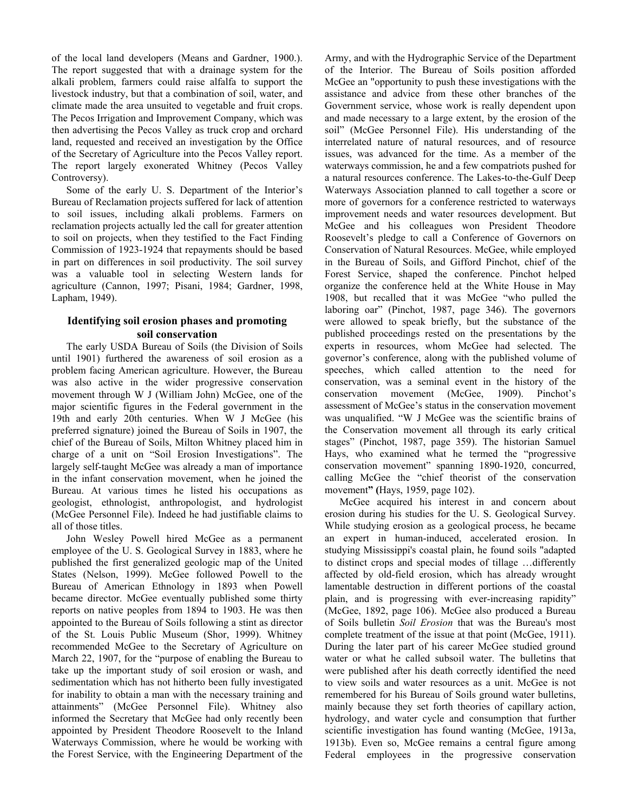of the local land developers (Means and Gardner, 1900.). The report suggested that with a drainage system for the alkali problem, farmers could raise alfalfa to support the livestock industry, but that a combination of soil, water, and climate made the area unsuited to vegetable and fruit crops. The Pecos Irrigation and Improvement Company, which was then advertising the Pecos Valley as truck crop and orchard land, requested and received an investigation by the Office of the Secretary of Agriculture into the Pecos Valley report. The report largely exonerated Whitney (Pecos Valley Controversy).

Some of the early U. S. Department of the Interior's Bureau of Reclamation projects suffered for lack of attention to soil issues, including alkali problems. Farmers on reclamation projects actually led the call for greater attention to soil on projects, when they testified to the Fact Finding Commission of 1923-1924 that repayments should be based in part on differences in soil productivity. The soil survey was a valuable tool in selecting Western lands for agriculture (Cannon, 1997; Pisani, 1984; Gardner, 1998, Lapham, 1949).

# **Identifying soil erosion phases and promoting soil conservation**

The early USDA Bureau of Soils (the Division of Soils until 1901) furthered the awareness of soil erosion as a problem facing American agriculture. However, the Bureau was also active in the wider progressive conservation movement through W J (William John) McGee, one of the major scientific figures in the Federal government in the 19th and early 20th centuries. When W J McGee (his preferred signature) joined the Bureau of Soils in 1907, the chief of the Bureau of Soils, Milton Whitney placed him in charge of a unit on "Soil Erosion Investigations". The largely self-taught McGee was already a man of importance in the infant conservation movement, when he joined the Bureau. At various times he listed his occupations as geologist, ethnologist, anthropologist, and hydrologist (McGee Personnel File). Indeed he had justifiable claims to all of those titles.

John Wesley Powell hired McGee as a permanent employee of the U. S. Geological Survey in 1883, where he published the first generalized geologic map of the United States (Nelson, 1999). McGee followed Powell to the Bureau of American Ethnology in 1893 when Powell became director. McGee eventually published some thirty reports on native peoples from 1894 to 1903. He was then appointed to the Bureau of Soils following a stint as director of the St. Louis Public Museum (Shor, 1999). Whitney recommended McGee to the Secretary of Agriculture on March 22, 1907, for the "purpose of enabling the Bureau to take up the important study of soil erosion or wash, and sedimentation which has not hitherto been fully investigated for inability to obtain a man with the necessary training and attainments" (McGee Personnel File). Whitney also informed the Secretary that McGee had only recently been appointed by President Theodore Roosevelt to the Inland Waterways Commission, where he would be working with the Forest Service, with the Engineering Department of the

Army, and with the Hydrographic Service of the Department of the Interior. The Bureau of Soils position afforded McGee an "opportunity to push these investigations with the assistance and advice from these other branches of the Government service, whose work is really dependent upon and made necessary to a large extent, by the erosion of the soil" (McGee Personnel File). His understanding of the interrelated nature of natural resources, and of resource issues, was advanced for the time. As a member of the waterways commission, he and a few compatriots pushed for a natural resources conference. The Lakes-to-the-Gulf Deep Waterways Association planned to call together a score or more of governors for a conference restricted to waterways improvement needs and water resources development. But McGee and his colleagues won President Theodore Roosevelt's pledge to call a Conference of Governors on Conservation of Natural Resources. McGee, while employed in the Bureau of Soils, and Gifford Pinchot, chief of the Forest Service, shaped the conference. Pinchot helped organize the conference held at the White House in May 1908, but recalled that it was McGee "who pulled the laboring oar" (Pinchot, 1987, page 346). The governors were allowed to speak briefly, but the substance of the published proceedings rested on the presentations by the experts in resources, whom McGee had selected. The governor's conference, along with the published volume of speeches, which called attention to the need for conservation, was a seminal event in the history of the conservation movement (McGee, 1909). Pinchot's assessment of McGee's status in the conservation movement was unqualified. "W J McGee was the scientific brains of the Conservation movement all through its early critical stages" (Pinchot, 1987, page 359). The historian Samuel Hays, who examined what he termed the "progressive conservation movement" spanning 1890-1920, concurred, calling McGee the "chief theorist of the conservation movement**" (**Hays, 1959, page 102).

McGee acquired his interest in and concern about erosion during his studies for the U. S. Geological Survey. While studying erosion as a geological process, he became an expert in human-induced, accelerated erosion. In studying Mississippi's coastal plain, he found soils "adapted to distinct crops and special modes of tillage …differently affected by old-field erosion, which has already wrought lamentable destruction in different portions of the coastal plain, and is progressing with ever-increasing rapidity" (McGee, 1892, page 106). McGee also produced a Bureau of Soils bulletin *Soil Erosion* that was the Bureau's most complete treatment of the issue at that point (McGee, 1911). During the later part of his career McGee studied ground water or what he called subsoil water. The bulletins that were published after his death correctly identified the need to view soils and water resources as a unit. McGee is not remembered for his Bureau of Soils ground water bulletins, mainly because they set forth theories of capillary action, hydrology, and water cycle and consumption that further scientific investigation has found wanting (McGee, 1913a, 1913b). Even so, McGee remains a central figure among Federal employees in the progressive conservation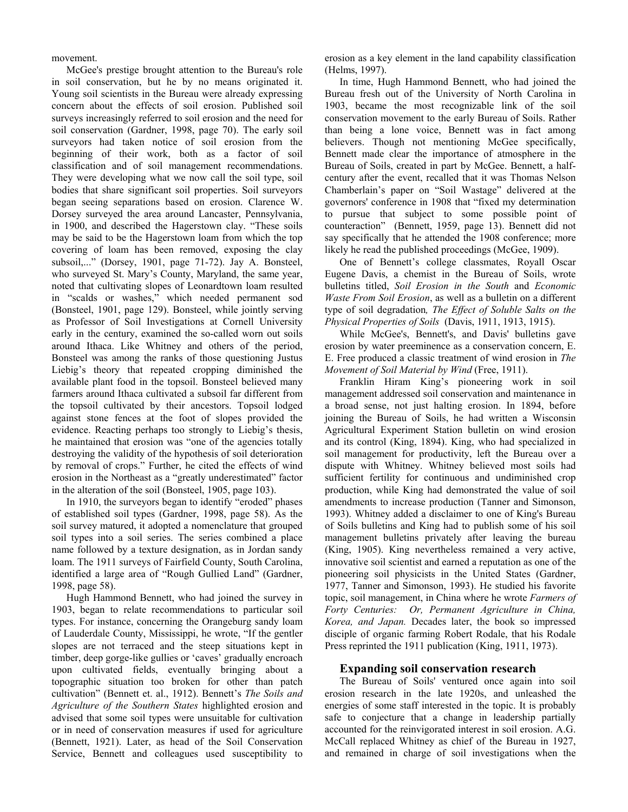movement.

McGee's prestige brought attention to the Bureau's role in soil conservation, but he by no means originated it. Young soil scientists in the Bureau were already expressing concern about the effects of soil erosion. Published soil surveys increasingly referred to soil erosion and the need for soil conservation (Gardner, 1998, page 70). The early soil surveyors had taken notice of soil erosion from the beginning of their work, both as a factor of soil classification and of soil management recommendations. They were developing what we now call the soil type, soil bodies that share significant soil properties. Soil surveyors began seeing separations based on erosion. Clarence W. Dorsey surveyed the area around Lancaster, Pennsylvania, in 1900, and described the Hagerstown clay. "These soils may be said to be the Hagerstown loam from which the top covering of loam has been removed, exposing the clay subsoil,..." (Dorsey, 1901, page 71-72). Jay A. Bonsteel, who surveyed St. Mary's County, Maryland, the same year, noted that cultivating slopes of Leonardtown loam resulted in "scalds or washes," which needed permanent sod (Bonsteel, 1901, page 129). Bonsteel, while jointly serving as Professor of Soil Investigations at Cornell University early in the century, examined the so-called worn out soils around Ithaca. Like Whitney and others of the period, Bonsteel was among the ranks of those questioning Justus Liebig's theory that repeated cropping diminished the available plant food in the topsoil. Bonsteel believed many farmers around Ithaca cultivated a subsoil far different from the topsoil cultivated by their ancestors. Topsoil lodged against stone fences at the foot of slopes provided the evidence. Reacting perhaps too strongly to Liebig's thesis, he maintained that erosion was "one of the agencies totally destroying the validity of the hypothesis of soil deterioration by removal of crops." Further, he cited the effects of wind erosion in the Northeast as a "greatly underestimated" factor in the alteration of the soil (Bonsteel, 1905, page 103).

In 1910, the surveyors began to identify "eroded" phases of established soil types (Gardner, 1998, page 58). As the soil survey matured, it adopted a nomenclature that grouped soil types into a soil series. The series combined a place name followed by a texture designation, as in Jordan sandy loam. The 1911 surveys of Fairfield County, South Carolina, identified a large area of "Rough Gullied Land" (Gardner, 1998, page 58).

Hugh Hammond Bennett, who had joined the survey in 1903, began to relate recommendations to particular soil types. For instance, concerning the Orangeburg sandy loam of Lauderdale County, Mississippi, he wrote, "If the gentler slopes are not terraced and the steep situations kept in timber, deep gorge-like gullies or 'caves' gradually encroach upon cultivated fields, eventually bringing about a topographic situation too broken for other than patch cultivation" (Bennett et. al., 1912). Bennett's *The Soils and Agriculture of the Southern States* highlighted erosion and advised that some soil types were unsuitable for cultivation or in need of conservation measures if used for agriculture (Bennett, 1921). Later, as head of the Soil Conservation Service, Bennett and colleagues used susceptibility to

erosion as a key element in the land capability classification (Helms, 1997).

In time, Hugh Hammond Bennett, who had joined the Bureau fresh out of the University of North Carolina in 1903, became the most recognizable link of the soil conservation movement to the early Bureau of Soils. Rather than being a lone voice, Bennett was in fact among believers. Though not mentioning McGee specifically, Bennett made clear the importance of atmosphere in the Bureau of Soils, created in part by McGee. Bennett, a halfcentury after the event, recalled that it was Thomas Nelson Chamberlain's paper on "Soil Wastage" delivered at the governors' conference in 1908 that "fixed my determination to pursue that subject to some possible point of counteraction" (Bennett, 1959, page 13). Bennett did not say specifically that he attended the 1908 conference; more likely he read the published proceedings (McGee, 1909).

One of Bennett's college classmates, Royall Oscar Eugene Davis, a chemist in the Bureau of Soils, wrote bulletins titled, *Soil Erosion in the South* and *Economic Waste From Soil Erosion*, as well as a bulletin on a different type of soil degradation*, The Effect of Soluble Salts on the Physical Properties of Soils* (Davis, 1911, 1913, 1915).

While McGee's, Bennett's, and Davis' bulletins gave erosion by water preeminence as a conservation concern, E. E. Free produced a classic treatment of wind erosion in *The Movement of Soil Material by Wind* (Free, 1911).

Franklin Hiram King's pioneering work in soil management addressed soil conservation and maintenance in a broad sense, not just halting erosion. In 1894, before joining the Bureau of Soils, he had written a Wisconsin Agricultural Experiment Station bulletin on wind erosion and its control (King, 1894). King, who had specialized in soil management for productivity, left the Bureau over a dispute with Whitney. Whitney believed most soils had sufficient fertility for continuous and undiminished crop production, while King had demonstrated the value of soil amendments to increase production (Tanner and Simonson, 1993). Whitney added a disclaimer to one of King's Bureau of Soils bulletins and King had to publish some of his soil management bulletins privately after leaving the bureau (King, 1905). King nevertheless remained a very active, innovative soil scientist and earned a reputation as one of the pioneering soil physicists in the United States (Gardner, 1977, Tanner and Simonson, 1993). He studied his favorite topic, soil management, in China where he wrote *Farmers of Forty Centuries: Or, Permanent Agriculture in China, Korea, and Japan.* Decades later, the book so impressed disciple of organic farming Robert Rodale, that his Rodale Press reprinted the 1911 publication (King, 1911, 1973).

# **Expanding soil conservation research**

The Bureau of Soils' ventured once again into soil erosion research in the late 1920s, and unleashed the energies of some staff interested in the topic. It is probably safe to conjecture that a change in leadership partially accounted for the reinvigorated interest in soil erosion. A.G. McCall replaced Whitney as chief of the Bureau in 1927, and remained in charge of soil investigations when the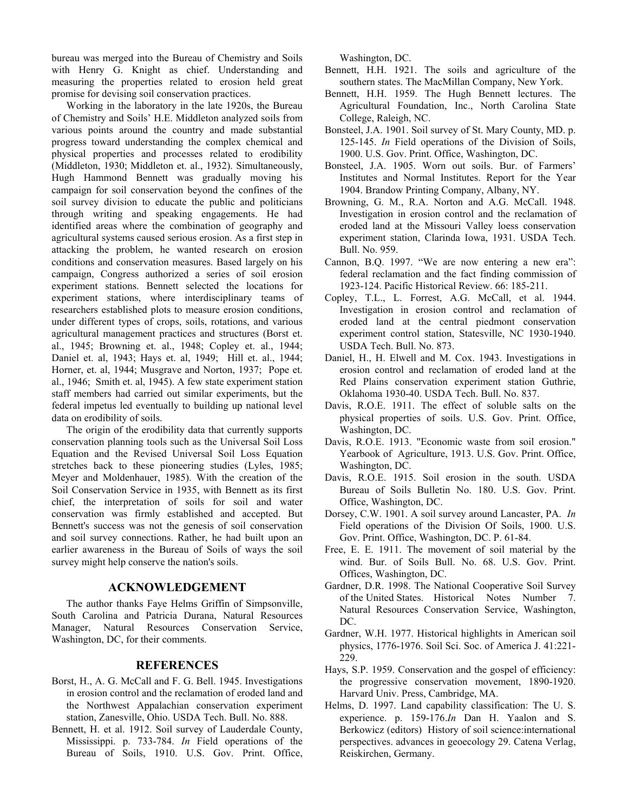bureau was merged into the Bureau of Chemistry and Soils with Henry G. Knight as chief. Understanding and measuring the properties related to erosion held great promise for devising soil conservation practices.

Working in the laboratory in the late 1920s, the Bureau of Chemistry and Soils' H.E. Middleton analyzed soils from various points around the country and made substantial progress toward understanding the complex chemical and physical properties and processes related to erodibility (Middleton, 1930; Middleton et. al., 1932). Simultaneously, Hugh Hammond Bennett was gradually moving his campaign for soil conservation beyond the confines of the soil survey division to educate the public and politicians through writing and speaking engagements. He had identified areas where the combination of geography and agricultural systems caused serious erosion. As a first step in attacking the problem, he wanted research on erosion conditions and conservation measures. Based largely on his campaign, Congress authorized a series of soil erosion experiment stations. Bennett selected the locations for experiment stations, where interdisciplinary teams of researchers established plots to measure erosion conditions, under different types of crops, soils, rotations, and various agricultural management practices and structures (Borst et. al., 1945; Browning et. al., 1948; Copley et. al., 1944; Daniel et. al, 1943; Hays et. al, 1949; Hill et. al., 1944; Horner, et. al, 1944; Musgrave and Norton, 1937; Pope et. al., 1946; Smith et. al, 1945). A few state experiment station staff members had carried out similar experiments, but the federal impetus led eventually to building up national level data on erodibility of soils.

The origin of the erodibility data that currently supports conservation planning tools such as the Universal Soil Loss Equation and the Revised Universal Soil Loss Equation stretches back to these pioneering studies (Lyles, 1985; Meyer and Moldenhauer, 1985). With the creation of the Soil Conservation Service in 1935, with Bennett as its first chief, the interpretation of soils for soil and water conservation was firmly established and accepted. But Bennett's success was not the genesis of soil conservation and soil survey connections. Rather, he had built upon an earlier awareness in the Bureau of Soils of ways the soil survey might help conserve the nation's soils.

## **ACKNOWLEDGEMENT**

The author thanks Faye Helms Griffin of Simpsonville, South Carolina and Patricia Durana, Natural Resources Manager, Natural Resources Conservation Service, Washington, DC, for their comments.

## **REFERENCES**

- Borst, H., A. G. McCall and F. G. Bell. 1945. Investigations in erosion control and the reclamation of eroded land and the Northwest Appalachian conservation experiment station, Zanesville, Ohio. USDA Tech. Bull. No. 888.
- Bennett, H. et al. 1912. Soil survey of Lauderdale County, Mississippi. p. 733-784. *In* Field operations of the Bureau of Soils, 1910. U.S. Gov. Print. Office,

Washington, DC.

Bennett, H.H. 1921. The soils and agriculture of the southern states. The MacMillan Company, New York.

- Bennett, H.H. 1959. The Hugh Bennett lectures. The Agricultural Foundation, Inc., North Carolina State College, Raleigh, NC.
- Bonsteel, J.A. 1901. Soil survey of St. Mary County, MD. p. 125-145. *In* Field operations of the Division of Soils, 1900. U.S. Gov. Print. Office, Washington, DC.
- Bonsteel, J.A. 1905. Worn out soils. Bur. of Farmers' Institutes and Normal Institutes. Report for the Year 1904. Brandow Printing Company, Albany, NY.
- Browning, G. M., R.A. Norton and A.G. McCall. 1948. Investigation in erosion control and the reclamation of eroded land at the Missouri Valley loess conservation experiment station, Clarinda Iowa, 1931. USDA Tech. Bull. No. 959.
- Cannon, B.Q. 1997. "We are now entering a new era": federal reclamation and the fact finding commission of 1923-124. Pacific Historical Review. 66: 185-211.
- Copley, T.L., L. Forrest, A.G. McCall, et al. 1944. Investigation in erosion control and reclamation of eroded land at the central piedmont conservation experiment control station, Statesville, NC 1930-1940. USDA Tech. Bull. No. 873.
- Daniel, H., H. Elwell and M. Cox. 1943. Investigations in erosion control and reclamation of eroded land at the Red Plains conservation experiment station Guthrie, Oklahoma 1930-40. USDA Tech. Bull. No. 837.
- Davis, R.O.E. 1911. The effect of soluble salts on the physical properties of soils. U.S. Gov. Print. Office, Washington, DC.
- Davis, R.O.E. 1913. "Economic waste from soil erosion." Yearbook of Agriculture, 1913. U.S. Gov. Print. Office, Washington, DC.
- Davis, R.O.E. 1915. Soil erosion in the south. USDA Bureau of Soils Bulletin No. 180. U.S. Gov. Print. Office, Washington, DC.
- Dorsey, C.W. 1901. A soil survey around Lancaster, PA. *In* Field operations of the Division Of Soils, 1900. U.S. Gov. Print. Office, Washington, DC. P. 61-84.
- Free, E. E. 1911. The movement of soil material by the wind. Bur. of Soils Bull. No. 68. U.S. Gov. Print. Offices, Washington, DC.
- Gardner, D.R. 1998. The National Cooperative Soil Survey of the United States. Historical Notes Number 7. Natural Resources Conservation Service, Washington, DC.
- Gardner, W.H. 1977. Historical highlights in American soil physics, 1776-1976. Soil Sci. Soc. of America J. 41:221- 229.
- Hays, S.P. 1959. Conservation and the gospel of efficiency: the progressive conservation movement, 1890-1920. Harvard Univ. Press, Cambridge, MA.
- Helms, D. 1997. Land capability classification: The U. S. experience. p. 159-176.*In* Dan H. Yaalon and S. Berkowicz (editors) History of soil science:international perspectives. advances in geoecology 29. Catena Verlag, Reiskirchen, Germany.